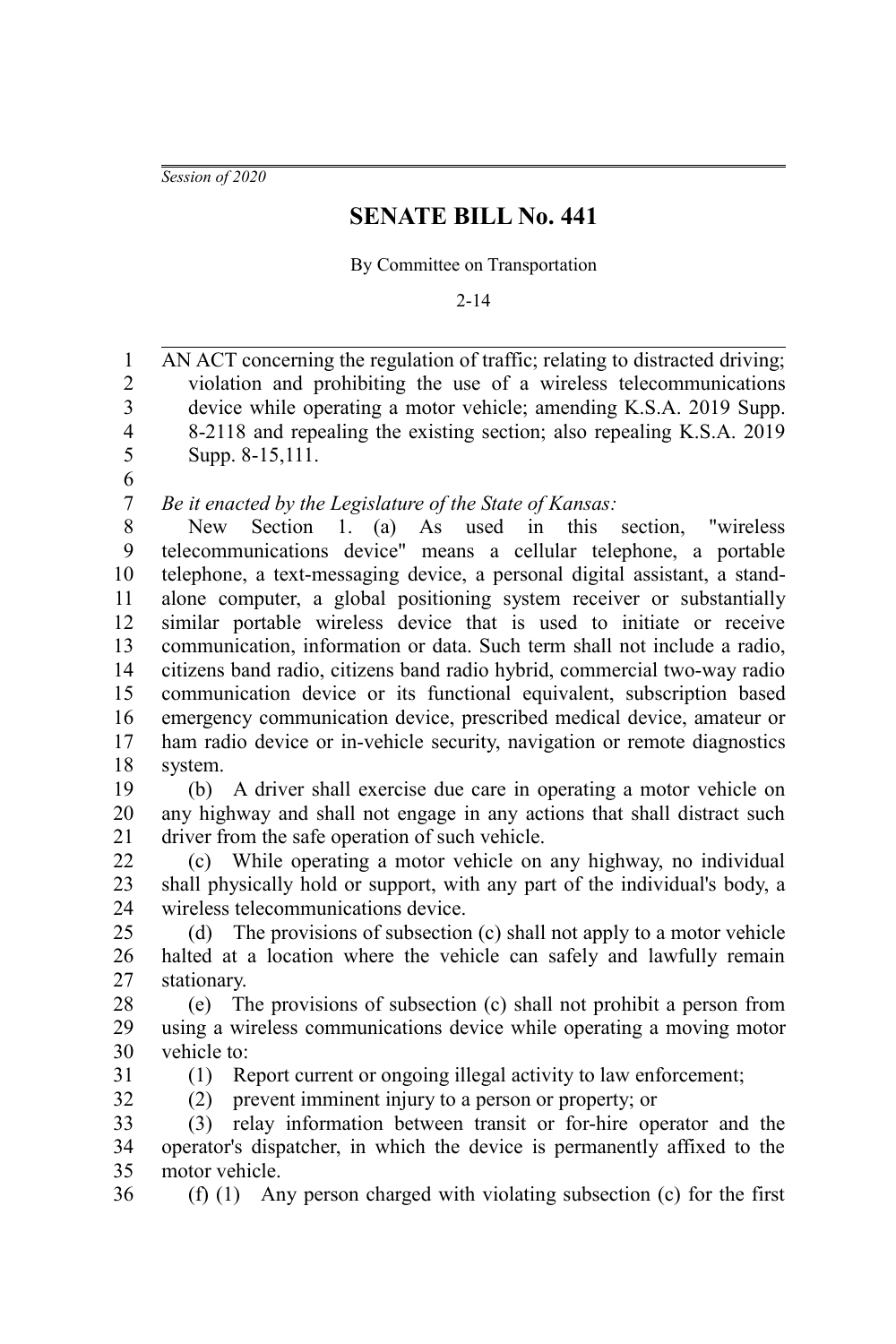*Session of 2020*

## **SENATE BILL No. 441**

By Committee on Transportation

2-14

AN ACT concerning the regulation of traffic; relating to distracted driving; violation and prohibiting the use of a wireless telecommunications device while operating a motor vehicle; amending K.S.A. 2019 Supp. 8-2118 and repealing the existing section; also repealing K.S.A. 2019 Supp. 8-15,111. *Be it enacted by the Legislature of the State of Kansas:* New Section 1. (a) As used in this section, "wireless telecommunications device" means a cellular telephone, a portable telephone, a text-messaging device, a personal digital assistant, a standalone computer, a global positioning system receiver or substantially similar portable wireless device that is used to initiate or receive communication, information or data. Such term shall not include a radio, citizens band radio, citizens band radio hybrid, commercial two-way radio communication device or its functional equivalent, subscription based emergency communication device, prescribed medical device, amateur or ham radio device or in-vehicle security, navigation or remote diagnostics system. (b) A driver shall exercise due care in operating a motor vehicle on any highway and shall not engage in any actions that shall distract such driver from the safe operation of such vehicle. (c) While operating a motor vehicle on any highway, no individual shall physically hold or support, with any part of the individual's body, a wireless telecommunications device. (d) The provisions of subsection (c) shall not apply to a motor vehicle halted at a location where the vehicle can safely and lawfully remain stationary. (e) The provisions of subsection (c) shall not prohibit a person from using a wireless communications device while operating a moving motor vehicle to: (1) Report current or ongoing illegal activity to law enforcement; (2) prevent imminent injury to a person or property; or (3) relay information between transit or for-hire operator and the operator's dispatcher, in which the device is permanently affixed to the motor vehicle. (f) (1) Any person charged with violating subsection (c) for the first 1 2 3 4 5 6 7 8 9 10 11 12 13 14 15 16 17 18 19 20 21 22 23 24 25 26 27 28 29 30 31 32 33 34 35 36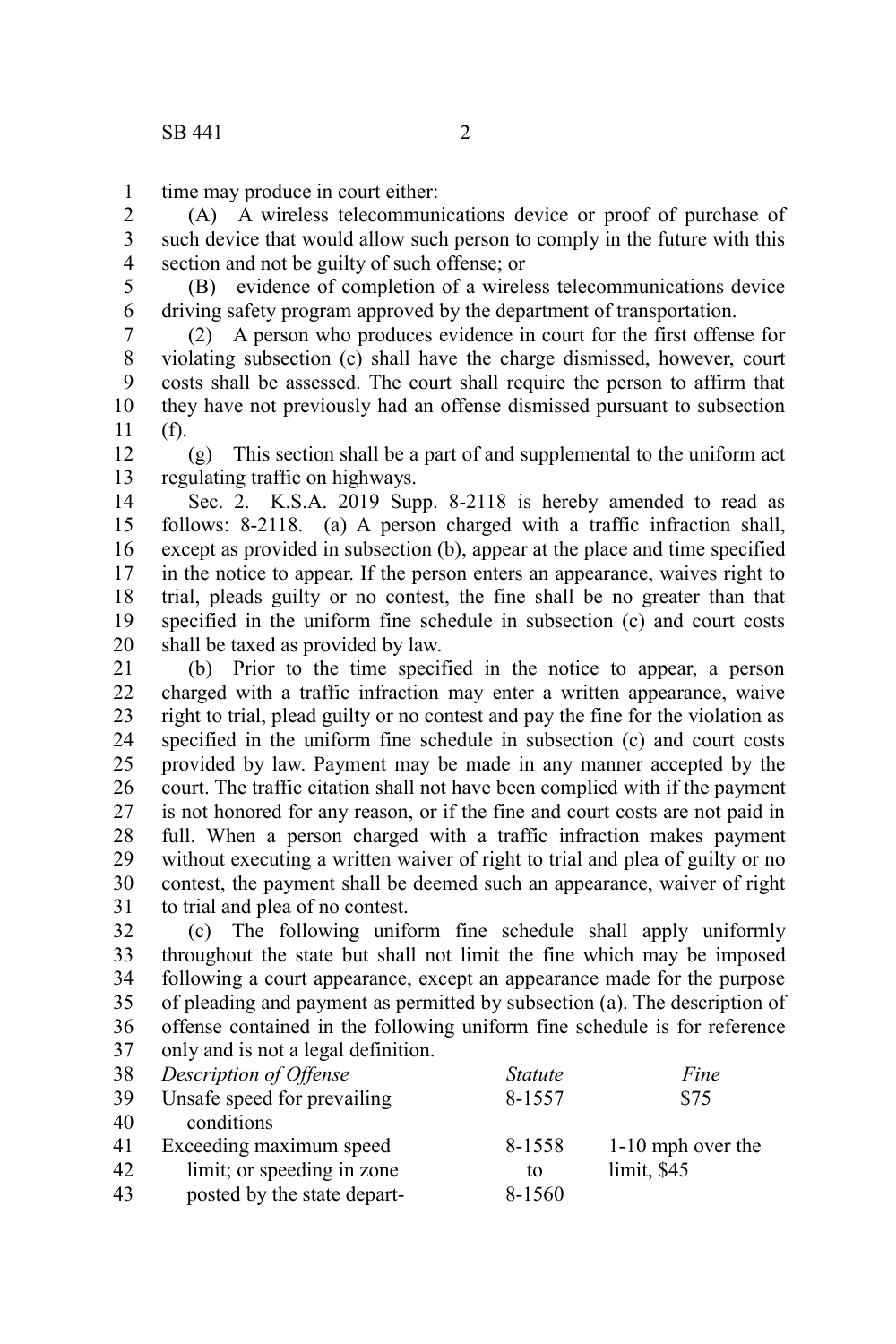time may produce in court either: 1

(A) A wireless telecommunications device or proof of purchase of such device that would allow such person to comply in the future with this section and not be guilty of such offense; or 2 3 4

(B) evidence of completion of a wireless telecommunications device driving safety program approved by the department of transportation. 5 6

(2) A person who produces evidence in court for the first offense for violating subsection (c) shall have the charge dismissed, however, court costs shall be assessed. The court shall require the person to affirm that they have not previously had an offense dismissed pursuant to subsection (f). 7 8 9 10 11

(g) This section shall be a part of and supplemental to the uniform act regulating traffic on highways. 12 13

Sec. 2. K.S.A. 2019 Supp. 8-2118 is hereby amended to read as follows: 8-2118. (a) A person charged with a traffic infraction shall, except as provided in subsection (b), appear at the place and time specified in the notice to appear. If the person enters an appearance, waives right to trial, pleads guilty or no contest, the fine shall be no greater than that specified in the uniform fine schedule in subsection (c) and court costs shall be taxed as provided by law. 14 15 16 17 18 19 20

(b) Prior to the time specified in the notice to appear, a person charged with a traffic infraction may enter a written appearance, waive right to trial, plead guilty or no contest and pay the fine for the violation as specified in the uniform fine schedule in subsection (c) and court costs provided by law. Payment may be made in any manner accepted by the court. The traffic citation shall not have been complied with if the payment is not honored for any reason, or if the fine and court costs are not paid in full. When a person charged with a traffic infraction makes payment without executing a written waiver of right to trial and plea of guilty or no contest, the payment shall be deemed such an appearance, waiver of right to trial and plea of no contest. 21 22 23 24 25 26 27 28 29 30 31

(c) The following uniform fine schedule shall apply uniformly throughout the state but shall not limit the fine which may be imposed following a court appearance, except an appearance made for the purpose of pleading and payment as permitted by subsection (a). The description of offense contained in the following uniform fine schedule is for reference only and is not a legal definition. 32 33 34 35 36 37

| 38 | Description of Offense      | <i>Statute</i> | Fine              |
|----|-----------------------------|----------------|-------------------|
| 39 | Unsafe speed for prevailing | 8-1557         | \$75              |
| 40 | conditions                  |                |                   |
| 41 | Exceeding maximum speed     | 8-1558         | 1-10 mph over the |
| 42 | limit; or speeding in zone  | tο             | limit, \$45       |
| 43 | posted by the state depart- | 8-1560         |                   |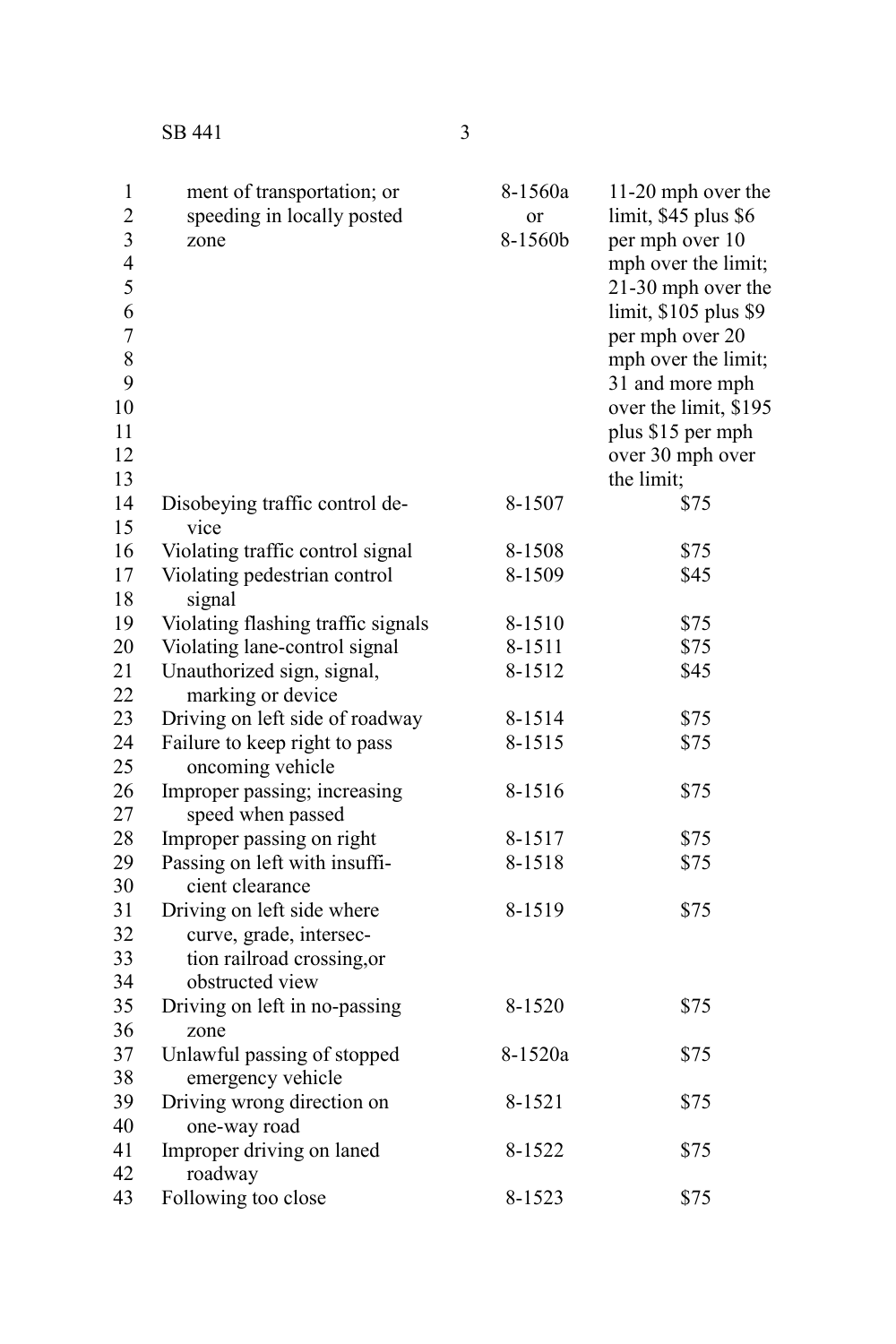| $\mathbf{1}$<br>$\overline{c}$ | ment of transportation; or<br>speeding in locally posted | 8-1560a<br>or | 11-20 mph over the<br>limit, \$45 plus \$6 |
|--------------------------------|----------------------------------------------------------|---------------|--------------------------------------------|
| 3                              | zone                                                     | 8-1560b       | per mph over 10                            |
| $\overline{4}$                 |                                                          |               | mph over the limit;                        |
| 5                              |                                                          |               | 21-30 mph over the                         |
| 6                              |                                                          |               | limit, \$105 plus \$9                      |
| $\overline{7}$                 |                                                          |               | per mph over 20                            |
| 8                              |                                                          |               | mph over the limit;                        |
| 9                              |                                                          |               | 31 and more mph                            |
| 10                             |                                                          |               | over the limit, \$195                      |
| 11                             |                                                          |               | plus \$15 per mph                          |
| 12                             |                                                          |               | over 30 mph over                           |
| 13                             |                                                          |               | the limit;                                 |
| 14                             | Disobeying traffic control de-                           | 8-1507        | \$75                                       |
| 15                             | vice                                                     |               |                                            |
| 16                             | Violating traffic control signal                         | 8-1508        | \$75                                       |
| 17                             | Violating pedestrian control                             | 8-1509        | \$45                                       |
| 18                             | signal                                                   |               |                                            |
| 19                             | Violating flashing traffic signals                       | 8-1510        | \$75                                       |
| 20                             | Violating lane-control signal                            | 8-1511        | \$75                                       |
| 21                             | Unauthorized sign, signal,                               | 8-1512        | \$45                                       |
| 22                             | marking or device                                        |               |                                            |
| 23                             | Driving on left side of roadway                          | 8-1514        | \$75                                       |
| 24                             | Failure to keep right to pass                            | 8-1515        | \$75                                       |
| 25                             | oncoming vehicle                                         |               |                                            |
| 26                             | Improper passing; increasing                             | 8-1516        | \$75                                       |
| 27                             | speed when passed                                        |               |                                            |
| 28                             | Improper passing on right                                | 8-1517        | \$75                                       |
| 29                             | Passing on left with insuffi-                            | 8-1518        | \$75                                       |
| 30                             | cient clearance                                          |               |                                            |
| 31                             | Driving on left side where                               | 8-1519        | \$75                                       |
| 32                             | curve, grade, intersec-                                  |               |                                            |
| 33                             | tion railroad crossing, or                               |               |                                            |
| 34                             | obstructed view                                          |               |                                            |
| 35                             | Driving on left in no-passing                            | 8-1520        | \$75                                       |
| 36                             | zone                                                     |               |                                            |
| 37                             | Unlawful passing of stopped                              | 8-1520a       | \$75                                       |
| 38                             | emergency vehicle                                        |               |                                            |
| 39                             | Driving wrong direction on                               | 8-1521        | \$75                                       |
| 40                             | one-way road                                             |               |                                            |
| 41                             | Improper driving on laned                                | 8-1522        | \$75                                       |
| 42                             | roadway                                                  |               |                                            |
| 43                             | Following too close                                      | 8-1523        | \$75                                       |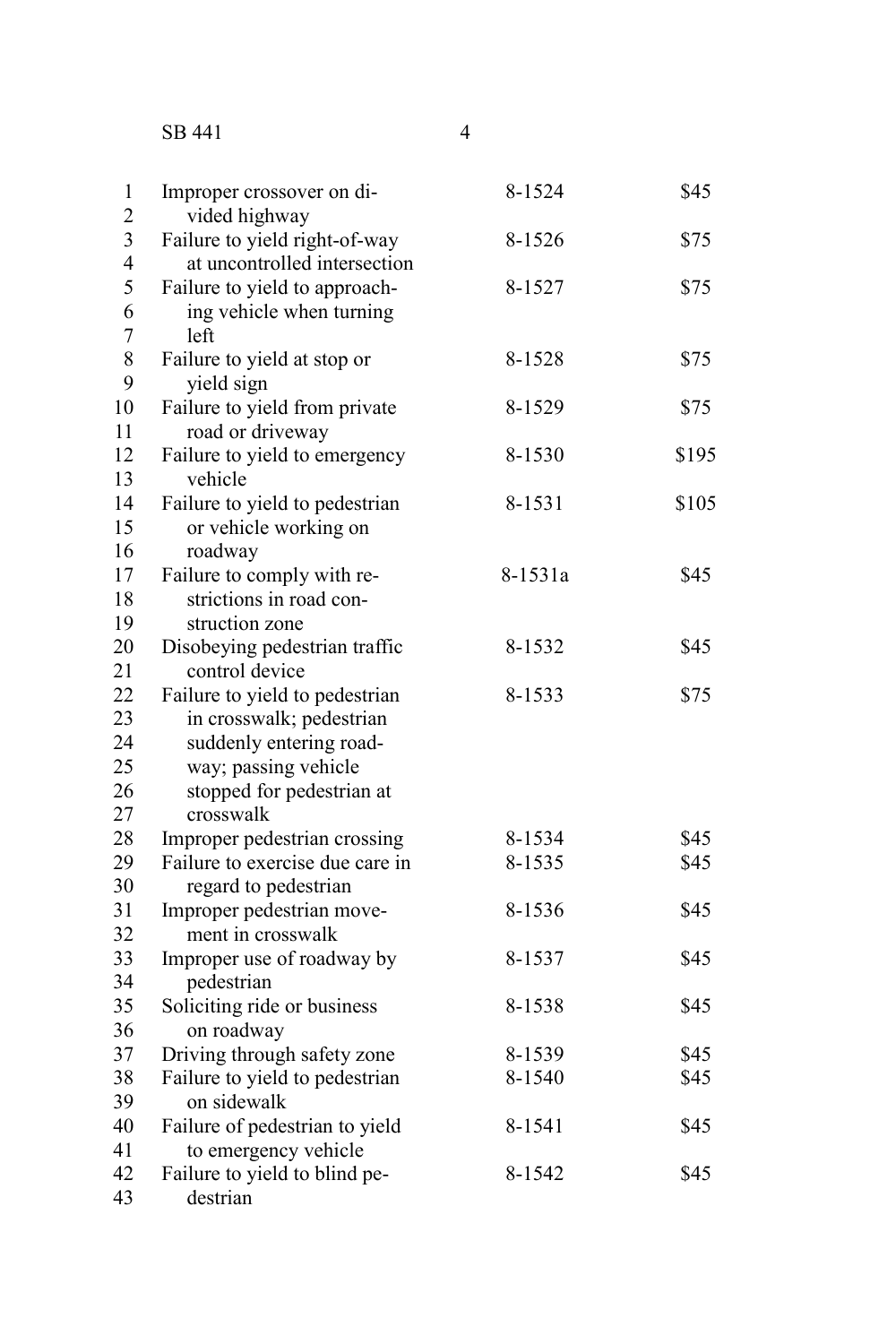SB 441

| 1<br>$\overline{2}$                       | Improper crossover on di-<br>vided highway                                                                                                              | 8-1524  | \$45  |
|-------------------------------------------|---------------------------------------------------------------------------------------------------------------------------------------------------------|---------|-------|
| $\overline{\mathbf{3}}$<br>$\overline{4}$ | Failure to yield right-of-way<br>at uncontrolled intersection                                                                                           | 8-1526  | \$75  |
| 5<br>6                                    | Failure to yield to approach-<br>ing vehicle when turning                                                                                               | 8-1527  | \$75  |
| 7<br>8<br>9                               | left<br>Failure to yield at stop or<br>yield sign                                                                                                       | 8-1528  | \$75  |
| 10<br>11                                  | Failure to yield from private<br>road or driveway                                                                                                       | 8-1529  | \$75  |
| 12<br>13                                  | Failure to yield to emergency<br>vehicle                                                                                                                | 8-1530  | \$195 |
| 14<br>15<br>16                            | Failure to yield to pedestrian<br>or vehicle working on<br>roadway                                                                                      | 8-1531  | \$105 |
| 17<br>18<br>19                            | Failure to comply with re-<br>strictions in road con-<br>struction zone                                                                                 | 8-1531a | \$45  |
| 20<br>21                                  | Disobeying pedestrian traffic<br>control device                                                                                                         | 8-1532  | \$45  |
| 22<br>23<br>24<br>25<br>26<br>27          | Failure to yield to pedestrian<br>in crosswalk; pedestrian<br>suddenly entering road-<br>way; passing vehicle<br>stopped for pedestrian at<br>crosswalk | 8-1533  | \$75  |
| 28                                        | Improper pedestrian crossing                                                                                                                            | 8-1534  | \$45  |
| 29<br>30                                  | Failure to exercise due care in<br>regard to pedestrian                                                                                                 | 8-1535  | \$45  |
| 31<br>32                                  | Improper pedestrian move-<br>ment in crosswalk                                                                                                          | 8-1536  | \$45  |
| 33<br>34                                  | Improper use of roadway by<br>pedestrian                                                                                                                | 8-1537  | \$45  |
| 35<br>36                                  | Soliciting ride or business<br>on roadway                                                                                                               | 8-1538  | \$45  |
| 37                                        | Driving through safety zone                                                                                                                             | 8-1539  | \$45  |
| 38<br>39                                  | Failure to yield to pedestrian<br>on sidewalk                                                                                                           | 8-1540  | \$45  |
| 40<br>41                                  | Failure of pedestrian to yield<br>to emergency vehicle                                                                                                  | 8-1541  | \$45  |
| 42<br>43                                  | Failure to yield to blind pe-<br>destrian                                                                                                               | 8-1542  | \$45  |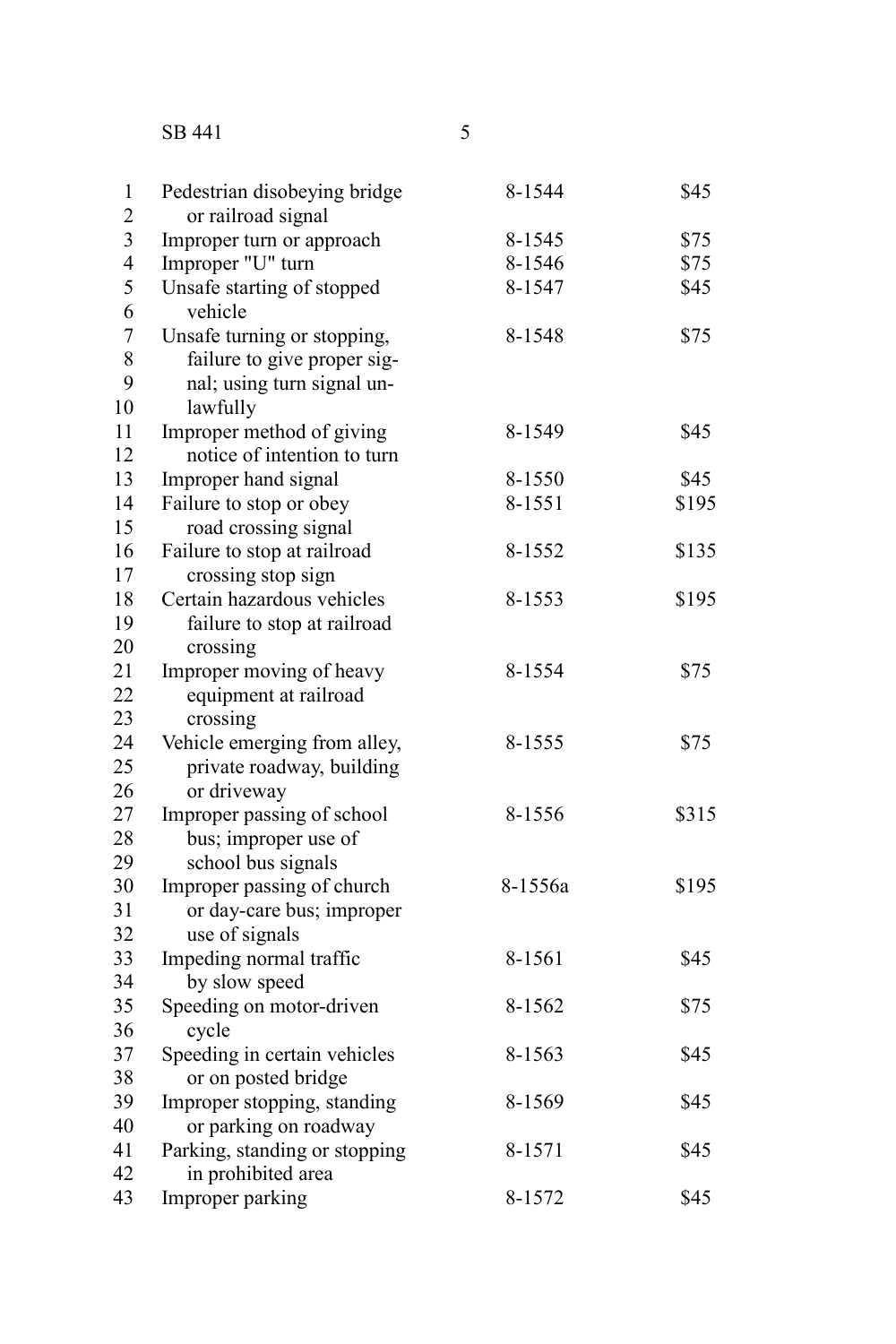SB 441

| ۰       |  |
|---------|--|
|         |  |
|         |  |
|         |  |
| I       |  |
| I<br>I  |  |
| ×<br>۰. |  |
|         |  |

| $\mathbf{1}$   | Pedestrian disobeying bridge          | 8-1544  | \$45  |
|----------------|---------------------------------------|---------|-------|
| $\overline{c}$ | or railroad signal                    |         |       |
| 3              | Improper turn or approach             | 8-1545  | \$75  |
| $\overline{4}$ | Improper "U" turn                     | 8-1546  | \$75  |
| 5<br>6         | Unsafe starting of stopped<br>vehicle | 8-1547  | \$45  |
| $\overline{7}$ | Unsafe turning or stopping,           | 8-1548  | \$75  |
| 8              | failure to give proper sig-           |         |       |
| 9              | nal; using turn signal un-            |         |       |
| 10             | lawfully                              |         |       |
| 11             | Improper method of giving             | 8-1549  | \$45  |
| 12             | notice of intention to turn           |         |       |
| 13             | Improper hand signal                  | 8-1550  | \$45  |
| 14             | Failure to stop or obey               | 8-1551  | \$195 |
| 15             | road crossing signal                  |         |       |
| 16             | Failure to stop at railroad           | 8-1552  | \$135 |
| 17             | crossing stop sign                    |         |       |
| 18             | Certain hazardous vehicles            | 8-1553  | \$195 |
| 19             | failure to stop at railroad           |         |       |
| 20             | crossing                              |         |       |
| 21             | Improper moving of heavy              | 8-1554  | \$75  |
| 22             | equipment at railroad                 |         |       |
| 23             | crossing                              |         |       |
| 24             | Vehicle emerging from alley,          | 8-1555  | \$75  |
| 25             | private roadway, building             |         |       |
| 26             | or driveway                           |         |       |
| 27             | Improper passing of school            | 8-1556  | \$315 |
| 28             | bus; improper use of                  |         |       |
| 29             | school bus signals                    |         |       |
| 30             | Improper passing of church            | 8-1556a | \$195 |
| 31             | or day-care bus; improper             |         |       |
| 32             | use of signals                        |         |       |
| 33             | Impeding normal traffic               | 8-1561  | \$45  |
| 34             | by slow speed                         |         |       |
| 35             | Speeding on motor-driven              | 8-1562  | \$75  |
| 36             | cycle                                 |         |       |
| 37             | Speeding in certain vehicles          | 8-1563  | \$45  |
| 38             | or on posted bridge                   |         |       |
| 39             | Improper stopping, standing           | 8-1569  | \$45  |
| 40             | or parking on roadway                 |         |       |
| 41             | Parking, standing or stopping         | 8-1571  | \$45  |
| 42             | in prohibited area                    |         |       |
| 43             | Improper parking                      | 8-1572  | \$45  |
|                |                                       |         |       |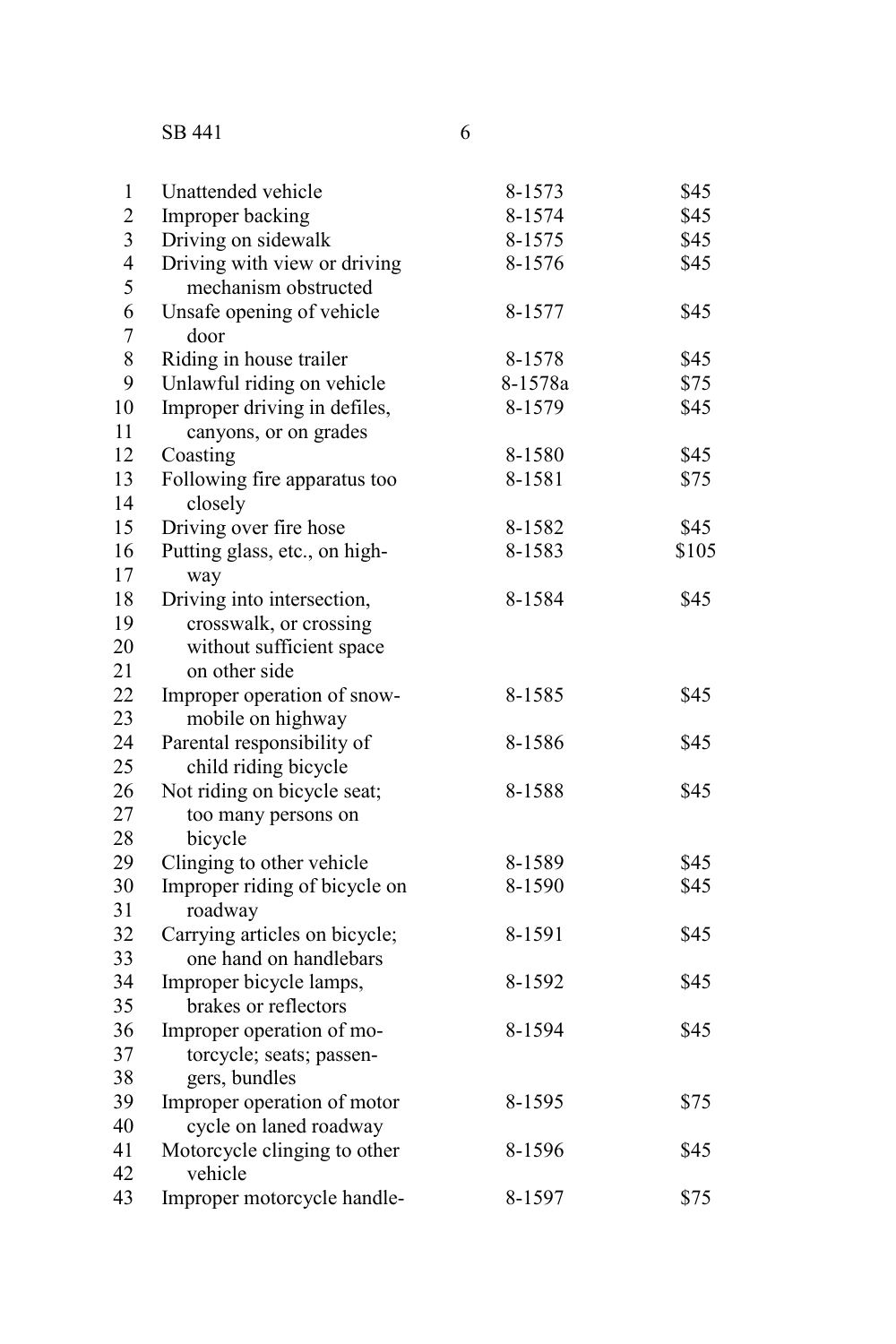## SB 441

| $\,1$                   | Unattended vehicle            | 8-1573  | \$45  |
|-------------------------|-------------------------------|---------|-------|
| $\overline{c}$          | Improper backing              | 8-1574  | \$45  |
| $\overline{\mathbf{3}}$ | Driving on sidewalk           | 8-1575  | \$45  |
| $\overline{4}$          | Driving with view or driving  | 8-1576  | \$45  |
| 5                       | mechanism obstructed          |         |       |
| 6                       | Unsafe opening of vehicle     | 8-1577  | \$45  |
| $\overline{7}$          | door                          |         |       |
| 8                       | Riding in house trailer       | 8-1578  | \$45  |
| 9                       | Unlawful riding on vehicle    | 8-1578a | \$75  |
| 10                      | Improper driving in defiles,  | 8-1579  | \$45  |
| 11                      | canyons, or on grades         |         |       |
| 12                      | Coasting                      | 8-1580  | \$45  |
| 13                      | Following fire apparatus too  | 8-1581  | \$75  |
| 14                      | closely                       |         |       |
| 15                      | Driving over fire hose        | 8-1582  | \$45  |
| 16                      | Putting glass, etc., on high- | 8-1583  | \$105 |
| 17                      | way                           |         |       |
| 18                      | Driving into intersection,    | 8-1584  | \$45  |
| 19                      | crosswalk, or crossing        |         |       |
| 20                      | without sufficient space      |         |       |
| 21                      | on other side                 |         |       |
| 22                      | Improper operation of snow-   | 8-1585  | \$45  |
| 23                      | mobile on highway             |         |       |
| 24                      | Parental responsibility of    | 8-1586  | \$45  |
| 25                      | child riding bicycle          |         |       |
| 26                      | Not riding on bicycle seat;   | 8-1588  | \$45  |
| 27                      | too many persons on           |         |       |
| 28                      | bicycle                       |         |       |
| 29                      | Clinging to other vehicle     | 8-1589  | \$45  |
| 30                      | Improper riding of bicycle on | 8-1590  | \$45  |
| 31                      | roadway                       |         |       |
| 32                      | Carrying articles on bicycle; | 8-1591  | \$45  |
| 33                      | one hand on handlebars        |         |       |
| 34                      | Improper bicycle lamps,       | 8-1592  | \$45  |
| 35                      | brakes or reflectors          |         |       |
| 36                      | Improper operation of mo-     | 8-1594  | \$45  |
| 37                      | torcycle; seats; passen-      |         |       |
| 38                      | gers, bundles                 |         |       |
| 39                      | Improper operation of motor   | 8-1595  | \$75  |
| 40                      | cycle on laned roadway        |         |       |
| 41                      | Motorcycle clinging to other  | 8-1596  | \$45  |
| 42                      | vehicle                       |         |       |
| 43                      | Improper motorcycle handle-   | 8-1597  | \$75  |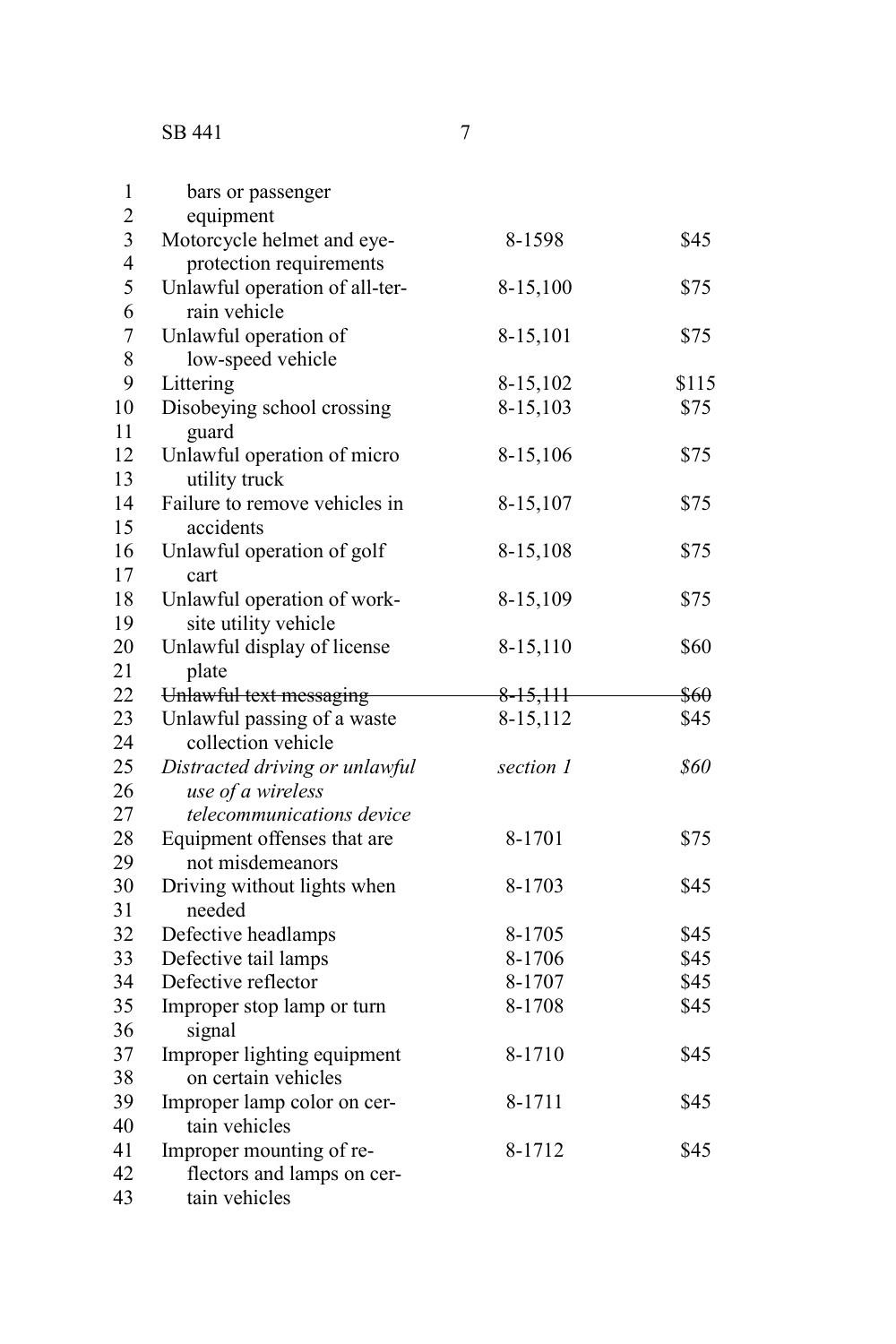SB 441

| $\mathbf{1}$   | bars or passenger              |            |       |
|----------------|--------------------------------|------------|-------|
| $\overline{c}$ | equipment                      |            |       |
| 3              | Motorcycle helmet and eye-     | 8-1598     | \$45  |
| $\overline{4}$ | protection requirements        |            |       |
| 5              | Unlawful operation of all-ter- | 8-15,100   | \$75  |
| 6              | rain vehicle                   |            |       |
| $\overline{7}$ | Unlawful operation of          | 8-15,101   | \$75  |
| 8              | low-speed vehicle              |            |       |
| 9              | Littering                      | 8-15,102   | \$115 |
| 10             | Disobeying school crossing     | 8-15,103   | \$75  |
| 11             | guard                          |            |       |
| 12             | Unlawful operation of micro    | 8-15,106   | \$75  |
| 13             | utility truck                  |            |       |
| 14             | Failure to remove vehicles in  | 8-15,107   | \$75  |
| 15             | accidents                      |            |       |
| 16             | Unlawful operation of golf     | 8-15,108   | \$75  |
| 17             | cart                           |            |       |
| 18             | Unlawful operation of work-    | 8-15,109   | \$75  |
| 19             | site utility vehicle           |            |       |
| 20             | Unlawful display of license    | 8-15,110   | \$60  |
| 21             | plate                          |            |       |
| 22             | Unlawful text messaging        | $8-15,111$ | \$60  |
| 23             | Unlawful passing of a waste    | 8-15,112   | \$45  |
| 24             | collection vehicle             |            |       |
| 25             | Distracted driving or unlawful | section 1  | \$60  |
| 26             | use of a wireless              |            |       |
| 27             | telecommunications device      |            |       |
| 28             | Equipment offenses that are    | 8-1701     | \$75  |
| 29             | not misdemeanors               |            |       |
| 30             | Driving without lights when    | 8-1703     | \$45  |
| 31             | needed                         |            |       |
| 32             | Defective headlamps            | 8-1705     | \$45  |
| 33             | Defective tail lamps           | 8-1706     | \$45  |
| 34             | Defective reflector            | 8-1707     | \$45  |
| 35             | Improper stop lamp or turn     | 8-1708     | \$45  |
| 36             | signal                         |            |       |
| 37             | Improper lighting equipment    | 8-1710     | \$45  |
| 38             | on certain vehicles            |            |       |
| 39             | Improper lamp color on cer-    | 8-1711     | \$45  |
| 40             | tain vehicles                  |            |       |
| 41             | Improper mounting of re-       | 8-1712     | \$45  |
| 42             | flectors and lamps on cer-     |            |       |
| 43             | tain vehicles                  |            |       |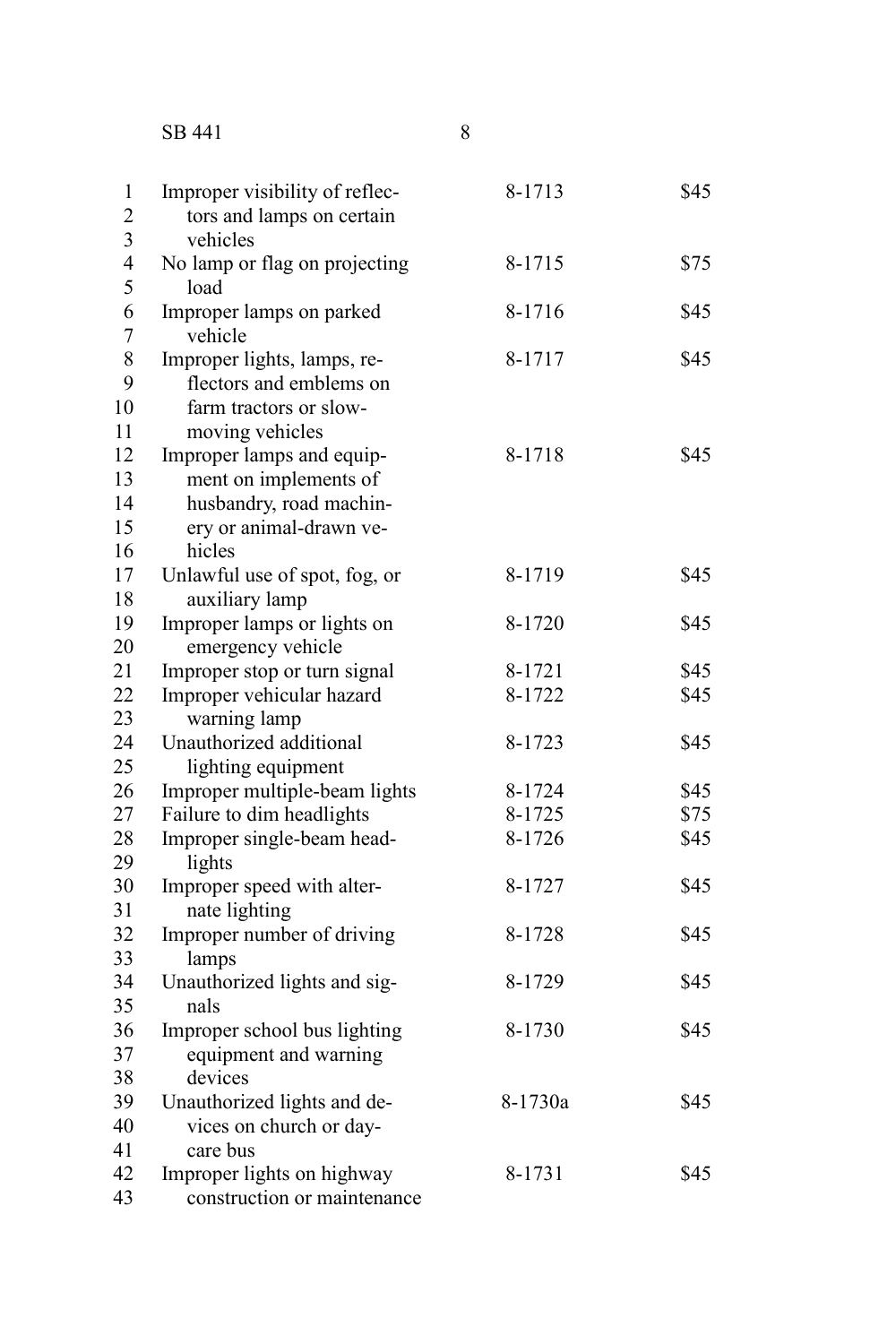## SB 441

| $\mathbf{1}$                 | Improper visibility of reflec-        | 8-1713  | \$45 |
|------------------------------|---------------------------------------|---------|------|
| $\overline{2}$               | tors and lamps on certain             |         |      |
| 3                            | vehicles                              |         |      |
| $\overline{\mathbf{4}}$<br>5 | No lamp or flag on projecting<br>load | 8-1715  | \$75 |
| 6                            | Improper lamps on parked              | 8-1716  | \$45 |
| $\overline{7}$               | vehicle                               |         |      |
| 8                            | Improper lights, lamps, re-           | 8-1717  | \$45 |
| 9                            | flectors and emblems on               |         |      |
| 10                           | farm tractors or slow-                |         |      |
| 11                           | moving vehicles                       |         |      |
| 12                           | Improper lamps and equip-             | 8-1718  | \$45 |
| 13                           | ment on implements of                 |         |      |
| 14                           | husbandry, road machin-               |         |      |
| 15                           | ery or animal-drawn ve-               |         |      |
| 16                           | hicles                                |         |      |
| 17                           | Unlawful use of spot, fog, or         | 8-1719  | \$45 |
| 18                           | auxiliary lamp                        |         |      |
| 19                           | Improper lamps or lights on           | 8-1720  | \$45 |
| 20                           | emergency vehicle                     |         |      |
| 21                           | Improper stop or turn signal          | 8-1721  | \$45 |
| 22                           | Improper vehicular hazard             | 8-1722  | \$45 |
| 23                           | warning lamp                          |         |      |
| 24                           | Unauthorized additional               | 8-1723  | \$45 |
| 25                           | lighting equipment                    |         |      |
| 26                           | Improper multiple-beam lights         | 8-1724  | \$45 |
| 27                           | Failure to dim headlights             | 8-1725  | \$75 |
| 28                           | Improper single-beam head-            | 8-1726  | \$45 |
| 29                           | lights                                |         |      |
| 30                           | Improper speed with alter-            | 8-1727  | \$45 |
| 31                           | nate lighting                         |         |      |
| 32                           | Improper number of driving            | 8-1728  | \$45 |
| 33                           | lamps                                 |         |      |
| 34                           | Unauthorized lights and sig-          | 8-1729  | \$45 |
| 35                           | nals                                  |         |      |
| 36                           | Improper school bus lighting          | 8-1730  | \$45 |
| 37                           | equipment and warning                 |         |      |
| 38                           | devices                               |         |      |
| 39                           | Unauthorized lights and de-           | 8-1730a | \$45 |
| 40                           | vices on church or day-               |         |      |
| 41                           | care bus                              |         |      |
| 42                           | Improper lights on highway            | 8-1731  | \$45 |
| 43                           | construction or maintenance           |         |      |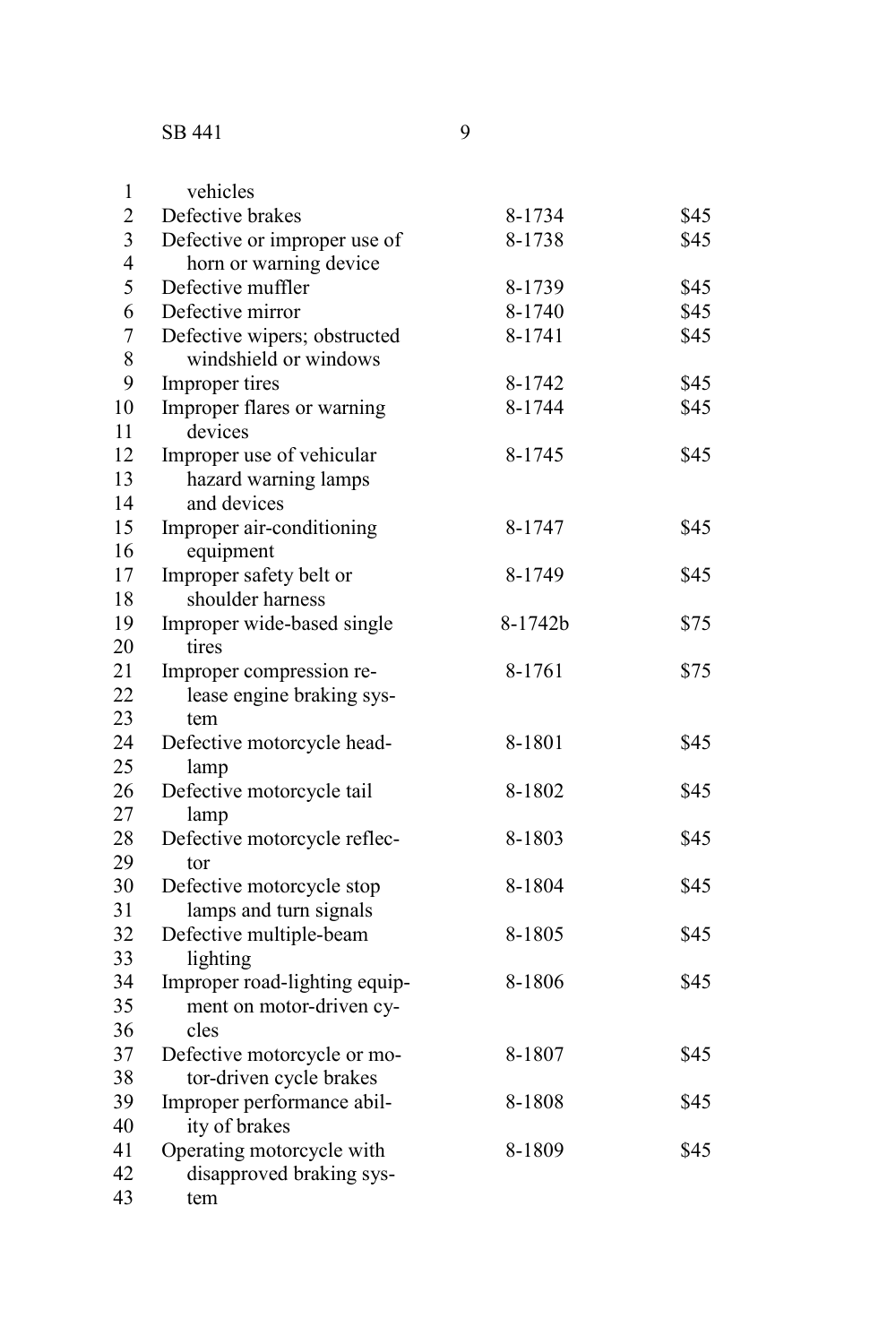| $\mathbf{1}$   | vehicles                      |         |      |
|----------------|-------------------------------|---------|------|
| $\overline{2}$ | Defective brakes              | 8-1734  | \$45 |
| 3              | Defective or improper use of  | 8-1738  | \$45 |
| $\overline{4}$ | horn or warning device        |         |      |
| 5              | Defective muffler             | 8-1739  | \$45 |
| 6              | Defective mirror              | 8-1740  | \$45 |
| $\overline{7}$ | Defective wipers; obstructed  | 8-1741  | \$45 |
| 8              | windshield or windows         |         |      |
| 9              | Improper tires                | 8-1742  | \$45 |
| 10             | Improper flares or warning    | 8-1744  | \$45 |
| 11             | devices                       |         |      |
| 12             | Improper use of vehicular     | 8-1745  | \$45 |
| 13             | hazard warning lamps          |         |      |
| 14             | and devices                   |         |      |
| 15             | Improper air-conditioning     | 8-1747  | \$45 |
| 16             | equipment                     |         |      |
| 17             | Improper safety belt or       | 8-1749  | \$45 |
| 18             | shoulder harness              |         |      |
| 19             | Improper wide-based single    | 8-1742b | \$75 |
| 20             | tires                         |         |      |
| 21             | Improper compression re-      | 8-1761  | \$75 |
| 22             | lease engine braking sys-     |         |      |
| 23             | tem                           |         |      |
| 24             | Defective motorcycle head-    | 8-1801  | \$45 |
| 25             | lamp                          |         |      |
| 26             | Defective motorcycle tail     | 8-1802  | \$45 |
| 27             | lamp                          |         |      |
| 28             | Defective motorcycle reflec-  | 8-1803  | \$45 |
| 29             | tor                           |         |      |
| 30             | Defective motorcycle stop     | 8-1804  | \$45 |
| 31             | lamps and turn signals        |         |      |
| 32             | Defective multiple-beam       | 8-1805  | \$45 |
| 33             | lighting                      |         |      |
| 34             | Improper road-lighting equip- | 8-1806  | \$45 |
| 35             | ment on motor-driven cy-      |         |      |
| 36             | cles                          |         |      |
| 37             | Defective motorcycle or mo-   | 8-1807  | \$45 |
| 38             | tor-driven cycle brakes       |         |      |
| 39             | Improper performance abil-    | 8-1808  | \$45 |
| 40             | ity of brakes                 |         |      |

Operating motorcycle with 8-1809 \$45 disapproved braking system 41 42 43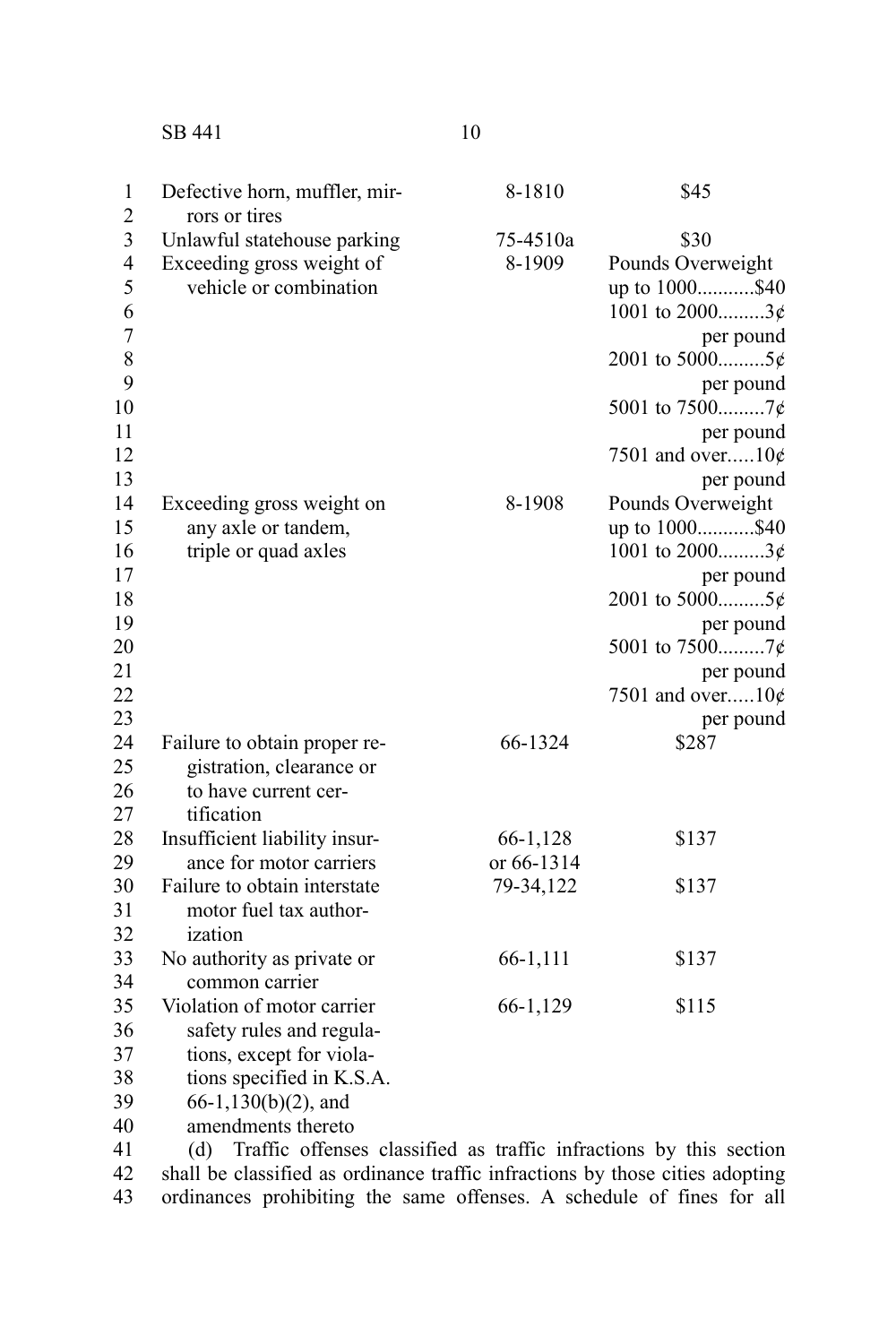SB 441 10

| $\mathbf{1}$<br>$\overline{2}$ | Defective horn, muffler, mir-                                          | 8-1810     | \$45                |
|--------------------------------|------------------------------------------------------------------------|------------|---------------------|
| 3                              | rors or tires<br>Unlawful statehouse parking                           | 75-4510a   | \$30                |
| 4                              | Exceeding gross weight of                                              | 8-1909     | Pounds Overweight   |
| 5                              | vehicle or combination                                                 |            | up to 1000\$40      |
| 6                              |                                                                        |            | 1001 to 20003¢      |
| $\overline{7}$                 |                                                                        |            | per pound           |
| 8                              |                                                                        |            | 2001 to 50005¢      |
| 9                              |                                                                        |            | per pound           |
| 10                             |                                                                        |            | 5001 to 75007¢      |
| 11                             |                                                                        |            | per pound           |
| 12                             |                                                                        |            | 7501 and over $10¢$ |
| 13                             |                                                                        |            | per pound           |
| 14                             | Exceeding gross weight on                                              | 8-1908     | Pounds Overweight   |
| 15                             | any axle or tandem,                                                    |            | up to 1000\$40      |
| 16                             | triple or quad axles                                                   |            | 1001 to $2000$ 3¢   |
| 17                             |                                                                        |            | per pound           |
| 18                             |                                                                        |            | 2001 to 50005¢      |
| 19                             |                                                                        |            | per pound           |
| 20                             |                                                                        |            | 5001 to 75007¢      |
| 21                             |                                                                        |            | per pound           |
| 22                             |                                                                        |            | 7501 and over $10¢$ |
| 23                             |                                                                        |            | per pound           |
| 24                             | Failure to obtain proper re-                                           | 66-1324    | \$287               |
| 25                             | gistration, clearance or                                               |            |                     |
| 26                             | to have current cer-                                                   |            |                     |
| 27                             | tification                                                             |            |                     |
| 28                             | Insufficient liability insur-<br>ance for motor carriers               | 66-1,128   | \$137               |
| 29<br>30                       | Failure to obtain interstate                                           | or 66-1314 |                     |
| 31                             | motor fuel tax author-                                                 | 79-34,122  | \$137               |
| 32                             | ization                                                                |            |                     |
| 33                             | No authority as private or                                             | 66-1,111   | \$137               |
| 34                             | common carrier                                                         |            |                     |
| 35                             | Violation of motor carrier                                             | 66-1,129   | \$115               |
| 36                             | safety rules and regula-                                               |            |                     |
| 37                             | tions, except for viola-                                               |            |                     |
| 38                             | tions specified in K.S.A.                                              |            |                     |
| 39                             | $66-1,130(b)(2)$ , and                                                 |            |                     |
| 40                             | amendments thereto                                                     |            |                     |
| $\Delta$ 1                     | (d) Traffic offenses classified as traffic infractions by this section |            |                     |

(d) Traffic offenses classified as traffic infractions by this section shall be classified as ordinance traffic infractions by those cities adopting ordinances prohibiting the same offenses. A schedule of fines for all 41 42 43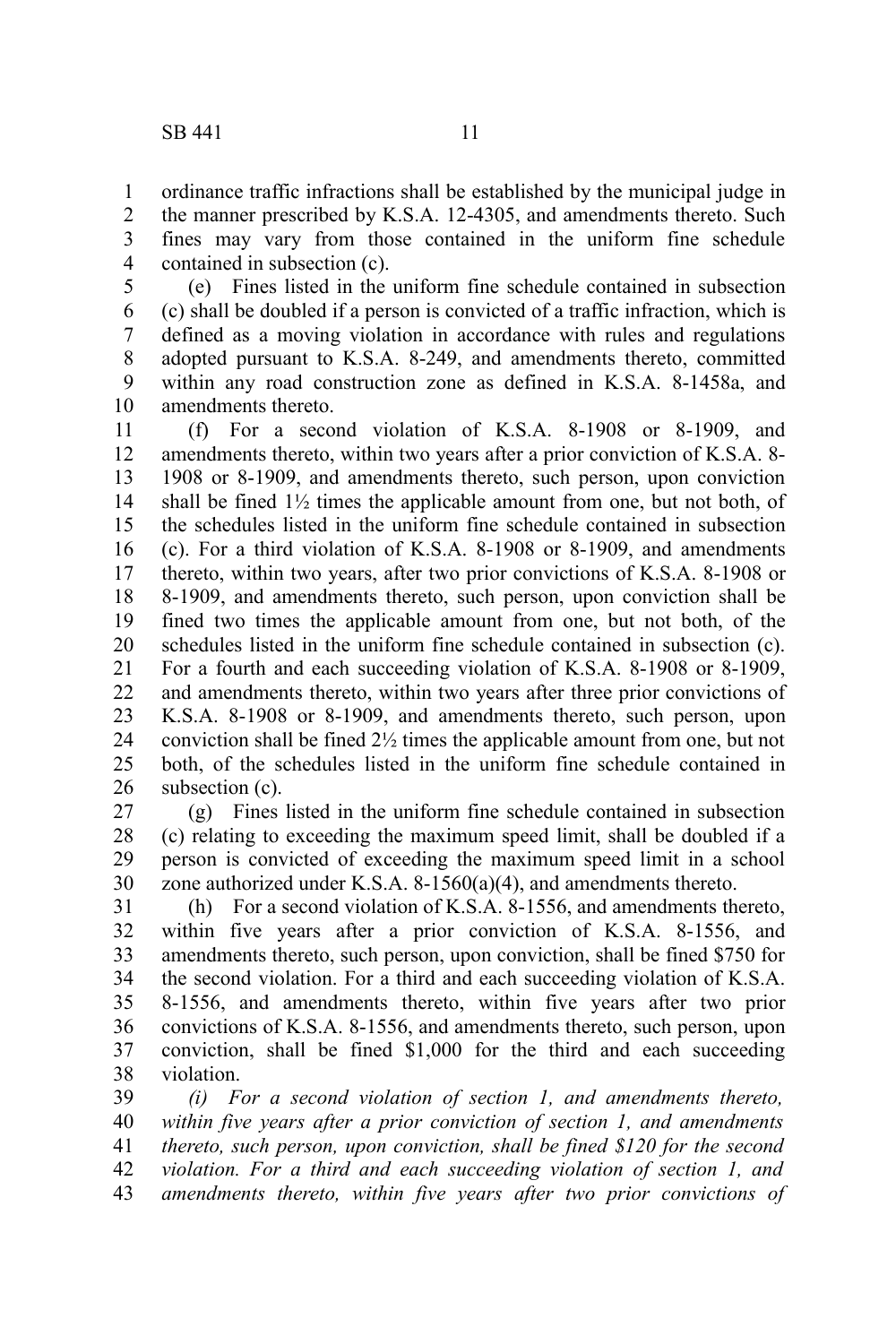ordinance traffic infractions shall be established by the municipal judge in the manner prescribed by K.S.A. 12-4305, and amendments thereto. Such fines may vary from those contained in the uniform fine schedule contained in subsection (c).

(e) Fines listed in the uniform fine schedule contained in subsection (c) shall be doubled if a person is convicted of a traffic infraction, which is defined as a moving violation in accordance with rules and regulations adopted pursuant to K.S.A. 8-249, and amendments thereto, committed within any road construction zone as defined in K.S.A. 8-1458a, and amendments thereto. 5 6 7 8 9 10

(f) For a second violation of K.S.A. 8-1908 or 8-1909, and amendments thereto, within two years after a prior conviction of K.S.A. 8- 1908 or 8-1909, and amendments thereto, such person, upon conviction shall be fined  $1\frac{1}{2}$  times the applicable amount from one, but not both, of the schedules listed in the uniform fine schedule contained in subsection (c). For a third violation of K.S.A. 8-1908 or 8-1909, and amendments thereto, within two years, after two prior convictions of K.S.A. 8-1908 or 8-1909, and amendments thereto, such person, upon conviction shall be fined two times the applicable amount from one, but not both, of the schedules listed in the uniform fine schedule contained in subsection (c). For a fourth and each succeeding violation of K.S.A. 8-1908 or 8-1909, and amendments thereto, within two years after three prior convictions of K.S.A. 8-1908 or 8-1909, and amendments thereto, such person, upon conviction shall be fined 2½ times the applicable amount from one, but not both, of the schedules listed in the uniform fine schedule contained in subsection (c). 11 12 13 14 15 16 17 18 19 20 21 22 23 24 25 26

(g) Fines listed in the uniform fine schedule contained in subsection (c) relating to exceeding the maximum speed limit, shall be doubled if a person is convicted of exceeding the maximum speed limit in a school zone authorized under K.S.A. 8-1560(a)(4), and amendments thereto. 27 28 29 30

(h) For a second violation of K.S.A. 8-1556, and amendments thereto, within five years after a prior conviction of K.S.A. 8-1556, and amendments thereto, such person, upon conviction, shall be fined \$750 for the second violation. For a third and each succeeding violation of K.S.A. 8-1556, and amendments thereto, within five years after two prior convictions of K.S.A. 8-1556, and amendments thereto, such person, upon conviction, shall be fined \$1,000 for the third and each succeeding violation. 31 32 33 34 35 36 37 38

*(i) For a second violation of section 1, and amendments thereto, within five years after a prior conviction of section 1, and amendments thereto, such person, upon conviction, shall be fined \$120 for the second violation. For a third and each succeeding violation of section 1, and amendments thereto, within five years after two prior convictions of* 39 40 41 42 43